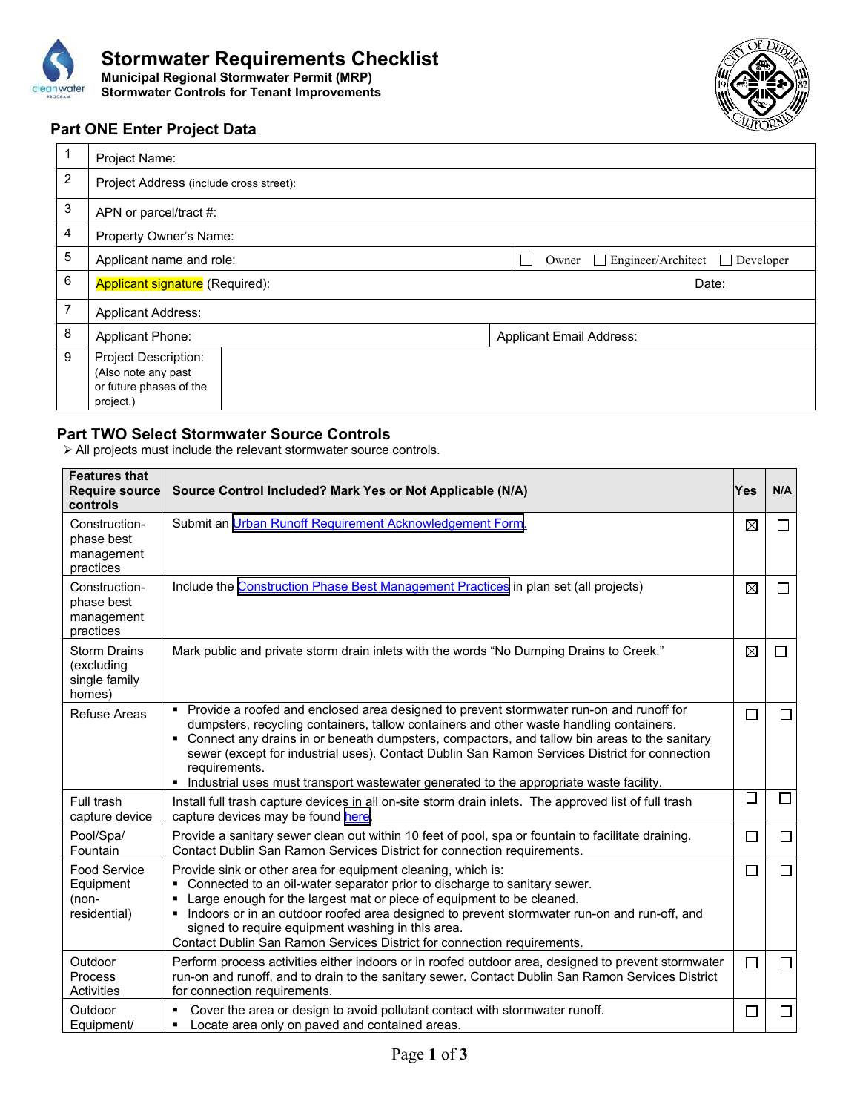



## **Part ONE Enter Project Data**

 $\Gamma$ 

| 1 | Project Name:                                                                              |                                                     |
|---|--------------------------------------------------------------------------------------------|-----------------------------------------------------|
| 2 | Project Address (include cross street):                                                    |                                                     |
| 3 | APN or parcel/tract #:                                                                     |                                                     |
| 4 | Property Owner's Name:                                                                     |                                                     |
| 5 | Applicant name and role:                                                                   | $\Box$ Engineer/Architect $\Box$ Developer<br>Owner |
| 6 | <b>Applicant signature</b> (Required):                                                     | Date:                                               |
| 7 | <b>Applicant Address:</b>                                                                  |                                                     |
| 8 | <b>Applicant Phone:</b>                                                                    | <b>Applicant Email Address:</b>                     |
| 9 | <b>Project Description:</b><br>(Also note any past<br>or future phases of the<br>project.) |                                                     |

## **Part TWO Select Stormwater Source Controls**

All projects must include the relevant stormwater source controls.

| <b>Features that</b><br><b>Require source</b><br>controls    | Source Control Included? Mark Yes or Not Applicable (N/A)                                                                                                                                                                                                                                                                                                                                                                                                                                               | Yes    | N/A            |
|--------------------------------------------------------------|---------------------------------------------------------------------------------------------------------------------------------------------------------------------------------------------------------------------------------------------------------------------------------------------------------------------------------------------------------------------------------------------------------------------------------------------------------------------------------------------------------|--------|----------------|
| Construction-<br>phase best<br>management<br>practices       | Submit an Urban Runoff Requirement Acknowledgement Form.                                                                                                                                                                                                                                                                                                                                                                                                                                                | ⊠      | $\blacksquare$ |
| Construction-<br>phase best<br>management<br>practices       | Include the Construction Phase Best Management Practices in plan set (all projects)                                                                                                                                                                                                                                                                                                                                                                                                                     | ⊠      |                |
| <b>Storm Drains</b><br>(excluding<br>single family<br>homes) | Mark public and private storm drain inlets with the words "No Dumping Drains to Creek."                                                                                                                                                                                                                                                                                                                                                                                                                 | ⊠      | $\Box$         |
| <b>Refuse Areas</b>                                          | • Provide a roofed and enclosed area designed to prevent stormwater run-on and runoff for<br>dumpsters, recycling containers, tallow containers and other waste handling containers.<br>• Connect any drains in or beneath dumpsters, compactors, and tallow bin areas to the sanitary<br>sewer (except for industrial uses). Contact Dublin San Ramon Services District for connection<br>requirements.<br>Industrial uses must transport wastewater generated to the appropriate waste facility.<br>٠ | $\Box$ | □              |
| Full trash<br>capture device                                 | Install full trash capture devices in all on-site storm drain inlets. The approved list of full trash<br>capture devices may be found here.                                                                                                                                                                                                                                                                                                                                                             | □      | $\Box$         |
| Pool/Spa/<br>Fountain                                        | Provide a sanitary sewer clean out within 10 feet of pool, spa or fountain to facilitate draining.<br>Contact Dublin San Ramon Services District for connection requirements.                                                                                                                                                                                                                                                                                                                           | $\Box$ | $\Box$         |
| <b>Food Service</b><br>Equipment<br>(non-<br>residential)    | Provide sink or other area for equipment cleaning, which is:<br>Connected to an oil-water separator prior to discharge to sanitary sewer.<br>٠<br>Large enough for the largest mat or piece of equipment to be cleaned.<br>Indoors or in an outdoor roofed area designed to prevent stormwater run-on and run-off, and<br>signed to require equipment washing in this area.<br>Contact Dublin San Ramon Services District for connection requirements.                                                  | $\Box$ | $\Box$         |
| Outdoor<br><b>Process</b><br>Activities                      | Perform process activities either indoors or in roofed outdoor area, designed to prevent stormwater<br>run-on and runoff, and to drain to the sanitary sewer. Contact Dublin San Ramon Services District<br>for connection requirements.                                                                                                                                                                                                                                                                | □      | □              |
| Outdoor<br>Equipment/                                        | Cover the area or design to avoid pollutant contact with stormwater runoff.<br>٠<br>Locate area only on paved and contained areas.<br>٠                                                                                                                                                                                                                                                                                                                                                                 | $\Box$ | □              |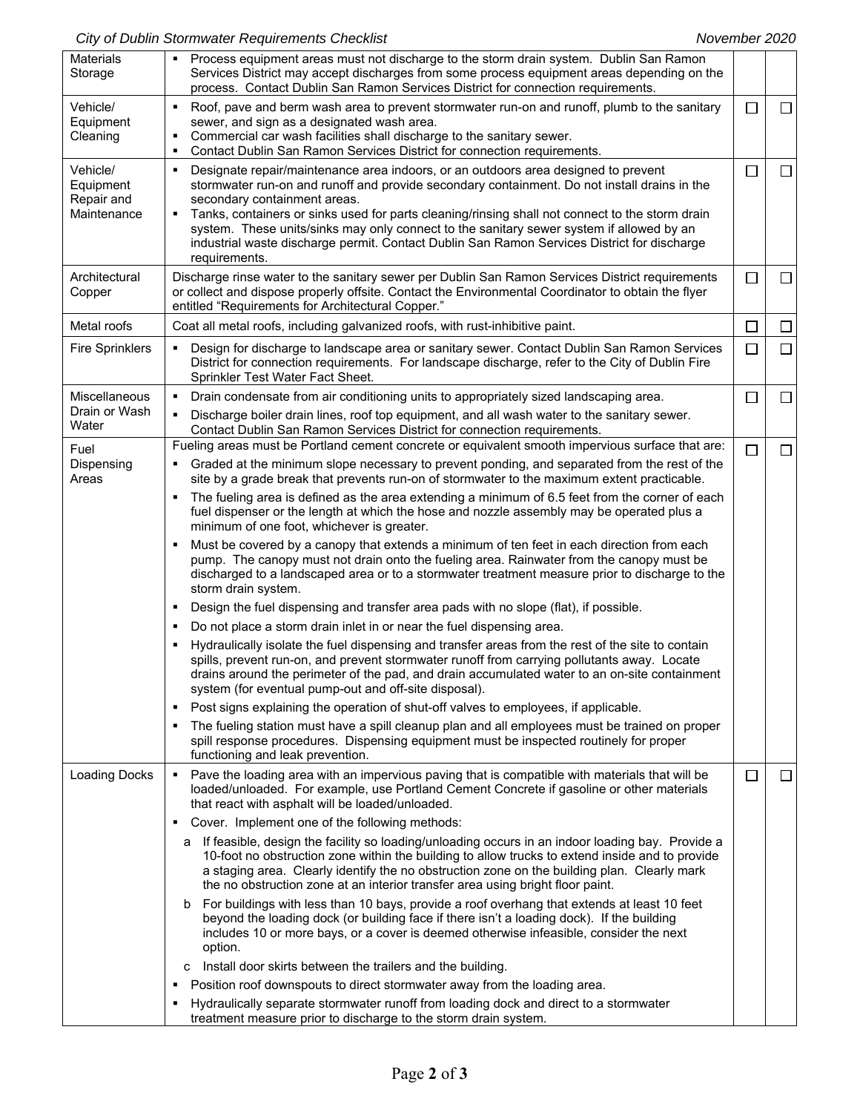## City of Dublin Stormwater Requirements Checklist **November 2020** November 2020

| <b>Materials</b><br>Storage                        | Process equipment areas must not discharge to the storm drain system. Dublin San Ramon<br>٠<br>Services District may accept discharges from some process equipment areas depending on the<br>process. Contact Dublin San Ramon Services District for connection requirements.                                                                                                                                                                                                                                                               |        |        |
|----------------------------------------------------|---------------------------------------------------------------------------------------------------------------------------------------------------------------------------------------------------------------------------------------------------------------------------------------------------------------------------------------------------------------------------------------------------------------------------------------------------------------------------------------------------------------------------------------------|--------|--------|
| Vehicle/<br>Equipment<br>Cleaning                  | Roof, pave and berm wash area to prevent stormwater run-on and runoff, plumb to the sanitary<br>٠<br>sewer, and sign as a designated wash area.<br>Commercial car wash facilities shall discharge to the sanitary sewer.<br>٠<br>Contact Dublin San Ramon Services District for connection requirements.<br>$\blacksquare$                                                                                                                                                                                                                  | $\Box$ | $\Box$ |
| Vehicle/<br>Equipment<br>Repair and<br>Maintenance | Designate repair/maintenance area indoors, or an outdoors area designed to prevent<br>٠<br>stormwater run-on and runoff and provide secondary containment. Do not install drains in the<br>secondary containment areas.<br>Tanks, containers or sinks used for parts cleaning/rinsing shall not connect to the storm drain<br>٠<br>system. These units/sinks may only connect to the sanitary sewer system if allowed by an<br>industrial waste discharge permit. Contact Dublin San Ramon Services District for discharge<br>requirements. | □      | □      |
| Architectural<br>Copper                            | Discharge rinse water to the sanitary sewer per Dublin San Ramon Services District requirements<br>or collect and dispose properly offsite. Contact the Environmental Coordinator to obtain the flyer<br>entitled "Requirements for Architectural Copper."                                                                                                                                                                                                                                                                                  | $\Box$ | □      |
| Metal roofs                                        | Coat all metal roofs, including galvanized roofs, with rust-inhibitive paint.                                                                                                                                                                                                                                                                                                                                                                                                                                                               | $\Box$ | □      |
| <b>Fire Sprinklers</b>                             | Design for discharge to landscape area or sanitary sewer. Contact Dublin San Ramon Services<br>District for connection requirements. For landscape discharge, refer to the City of Dublin Fire<br>Sprinkler Test Water Fact Sheet.                                                                                                                                                                                                                                                                                                          | $\Box$ | $\Box$ |
| Miscellaneous                                      | Drain condensate from air conditioning units to appropriately sized landscaping area.                                                                                                                                                                                                                                                                                                                                                                                                                                                       | $\Box$ | $\Box$ |
| Drain or Wash<br>Water                             | Discharge boiler drain lines, roof top equipment, and all wash water to the sanitary sewer.<br>٠<br>Contact Dublin San Ramon Services District for connection requirements.                                                                                                                                                                                                                                                                                                                                                                 |        |        |
| Fuel                                               | Fueling areas must be Portland cement concrete or equivalent smooth impervious surface that are:                                                                                                                                                                                                                                                                                                                                                                                                                                            | $\Box$ | $\Box$ |
| Dispensing<br>Areas                                | Graded at the minimum slope necessary to prevent ponding, and separated from the rest of the<br>site by a grade break that prevents run-on of stormwater to the maximum extent practicable.                                                                                                                                                                                                                                                                                                                                                 |        |        |
|                                                    | The fueling area is defined as the area extending a minimum of 6.5 feet from the corner of each<br>٠<br>fuel dispenser or the length at which the hose and nozzle assembly may be operated plus a<br>minimum of one foot, whichever is greater.                                                                                                                                                                                                                                                                                             |        |        |
|                                                    | Must be covered by a canopy that extends a minimum of ten feet in each direction from each<br>٠<br>pump. The canopy must not drain onto the fueling area. Rainwater from the canopy must be<br>discharged to a landscaped area or to a stormwater treatment measure prior to discharge to the<br>storm drain system.                                                                                                                                                                                                                        |        |        |
|                                                    | Design the fuel dispensing and transfer area pads with no slope (flat), if possible.<br>٠                                                                                                                                                                                                                                                                                                                                                                                                                                                   |        |        |
|                                                    | Do not place a storm drain inlet in or near the fuel dispensing area.<br>٠                                                                                                                                                                                                                                                                                                                                                                                                                                                                  |        |        |
|                                                    | Hydraulically isolate the fuel dispensing and transfer areas from the rest of the site to contain<br>spills, prevent run-on, and prevent stormwater runoff from carrying pollutants away. Locate<br>drains around the perimeter of the pad, and drain accumulated water to an on-site containment<br>system (for eventual pump-out and off-site disposal).                                                                                                                                                                                  |        |        |
|                                                    | Post signs explaining the operation of shut-off valves to employees, if applicable.<br>٠                                                                                                                                                                                                                                                                                                                                                                                                                                                    |        |        |
|                                                    | The fueling station must have a spill cleanup plan and all employees must be trained on proper<br>٠<br>spill response procedures. Dispensing equipment must be inspected routinely for proper<br>functioning and leak prevention.                                                                                                                                                                                                                                                                                                           |        |        |
| <b>Loading Docks</b>                               | Pave the loading area with an impervious paving that is compatible with materials that will be<br>٠<br>loaded/unloaded. For example, use Portland Cement Concrete if gasoline or other materials<br>that react with asphalt will be loaded/unloaded.                                                                                                                                                                                                                                                                                        | ப      | $\Box$ |
|                                                    | Cover. Implement one of the following methods:<br>п                                                                                                                                                                                                                                                                                                                                                                                                                                                                                         |        |        |
|                                                    | a If feasible, design the facility so loading/unloading occurs in an indoor loading bay. Provide a<br>10-foot no obstruction zone within the building to allow trucks to extend inside and to provide<br>a staging area. Clearly identify the no obstruction zone on the building plan. Clearly mark<br>the no obstruction zone at an interior transfer area using bright floor paint.                                                                                                                                                      |        |        |
|                                                    | For buildings with less than 10 bays, provide a roof overhang that extends at least 10 feet<br>b<br>beyond the loading dock (or building face if there isn't a loading dock). If the building<br>includes 10 or more bays, or a cover is deemed otherwise infeasible, consider the next<br>option.                                                                                                                                                                                                                                          |        |        |
|                                                    | Install door skirts between the trailers and the building.<br>c                                                                                                                                                                                                                                                                                                                                                                                                                                                                             |        |        |
|                                                    | Position roof downspouts to direct stormwater away from the loading area.<br>٠                                                                                                                                                                                                                                                                                                                                                                                                                                                              |        |        |
|                                                    | Hydraulically separate stormwater runoff from loading dock and direct to a stormwater<br>٠<br>treatment measure prior to discharge to the storm drain system.                                                                                                                                                                                                                                                                                                                                                                               |        |        |